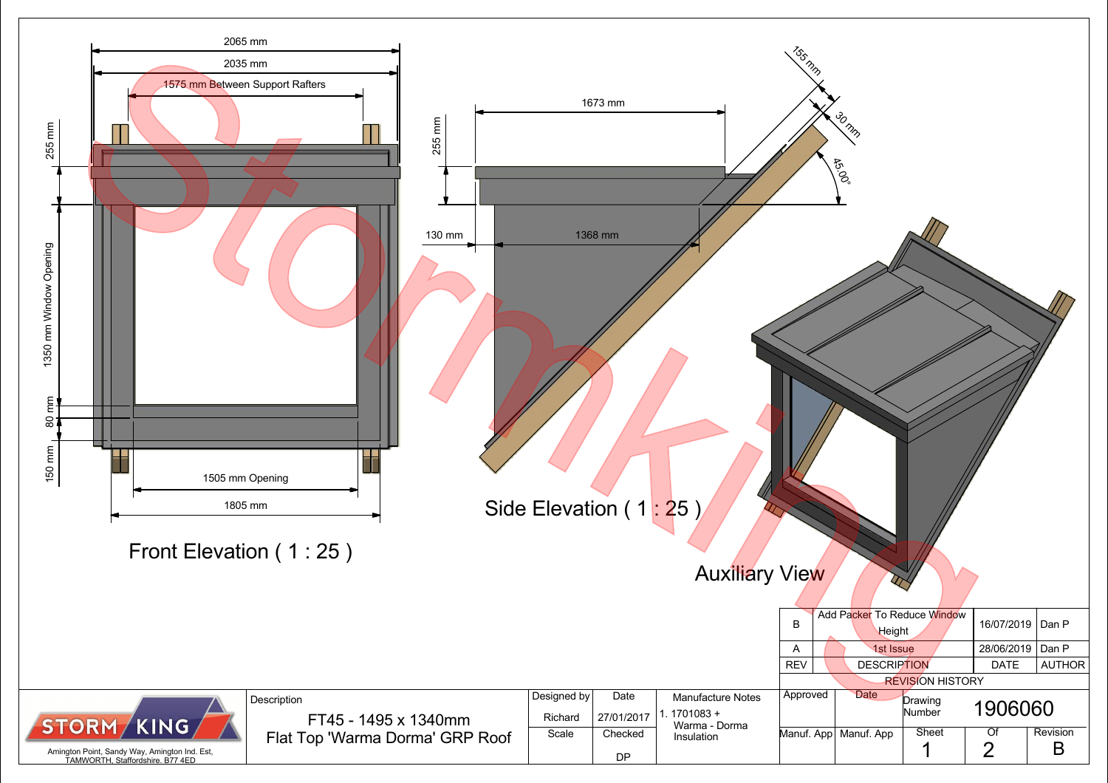